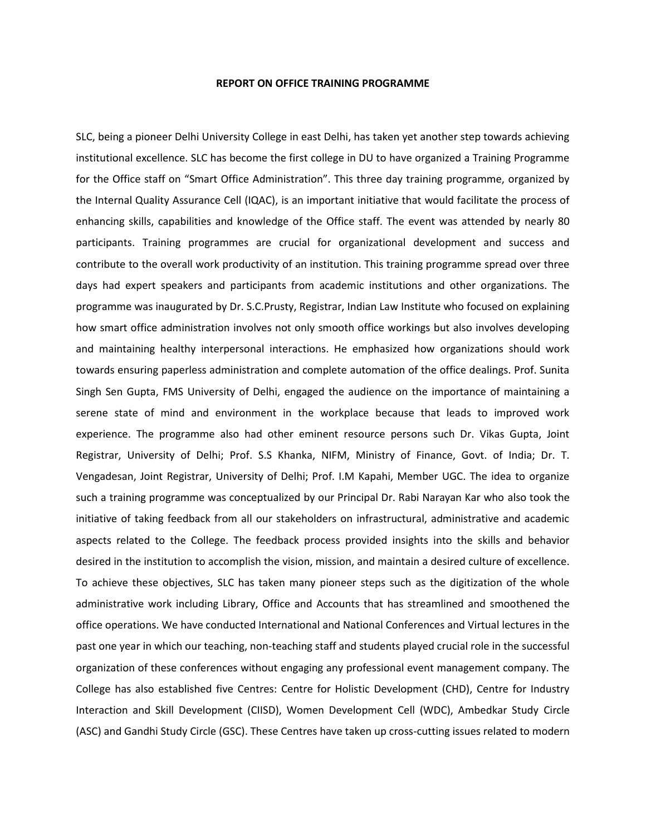## **REPORT ON OFFICE TRAINING PROGRAMME**

SLC, being a pioneer Delhi University College in east Delhi, has taken yet another step towards achieving institutional excellence. SLC has become the first college in DU to have organized a Training Programme for the Office staff on "Smart Office Administration". This three day training programme, organized by the Internal Quality Assurance Cell (IQAC), is an important initiative that would facilitate the process of enhancing skills, capabilities and knowledge of the Office staff. The event was attended by nearly 80 participants. Training programmes are crucial for organizational development and success and contribute to the overall work productivity of an institution. This training programme spread over three days had expert speakers and participants from academic institutions and other organizations. The programme was inaugurated by Dr. S.C.Prusty, Registrar, Indian Law Institute who focused on explaining how smart office administration involves not only smooth office workings but also involves developing and maintaining healthy interpersonal interactions. He emphasized how organizations should work towards ensuring paperless administration and complete automation of the office dealings. Prof. Sunita Singh Sen Gupta, FMS University of Delhi, engaged the audience on the importance of maintaining a serene state of mind and environment in the workplace because that leads to improved work experience. The programme also had other eminent resource persons such Dr. Vikas Gupta, Joint Registrar, University of Delhi; Prof. S.S Khanka, NIFM, Ministry of Finance, Govt. of India; Dr. T. Vengadesan, Joint Registrar, University of Delhi; Prof. I.M Kapahi, Member UGC. The idea to organize such a training programme was conceptualized by our Principal Dr. Rabi Narayan Kar who also took the initiative of taking feedback from all our stakeholders on infrastructural, administrative and academic aspects related to the College. The feedback process provided insights into the skills and behavior desired in the institution to accomplish the vision, mission, and maintain a desired culture of excellence. To achieve these objectives, SLC has taken many pioneer steps such as the digitization of the whole administrative work including Library, Office and Accounts that has streamlined and smoothened the office operations. We have conducted International and National Conferences and Virtual lectures in the past one year in which our teaching, non-teaching staff and students played crucial role in the successful organization of these conferences without engaging any professional event management company. The College has also established five Centres: Centre for Holistic Development (CHD), Centre for Industry Interaction and Skill Development (CIISD), Women Development Cell (WDC), Ambedkar Study Circle (ASC) and Gandhi Study Circle (GSC). These Centres have taken up cross-cutting issues related to modern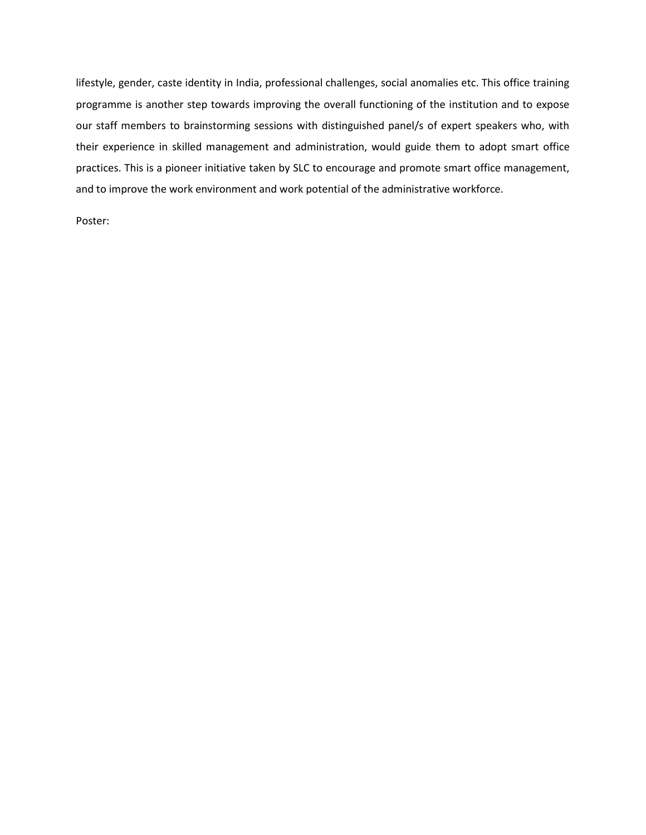lifestyle, gender, caste identity in India, professional challenges, social anomalies etc. This office training programme is another step towards improving the overall functioning of the institution and to expose our staff members to brainstorming sessions with distinguished panel/s of expert speakers who, with their experience in skilled management and administration, would guide them to adopt smart office practices. This is a pioneer initiative taken by SLC to encourage and promote smart office management, and to improve the work environment and work potential of the administrative workforce.

Poster: